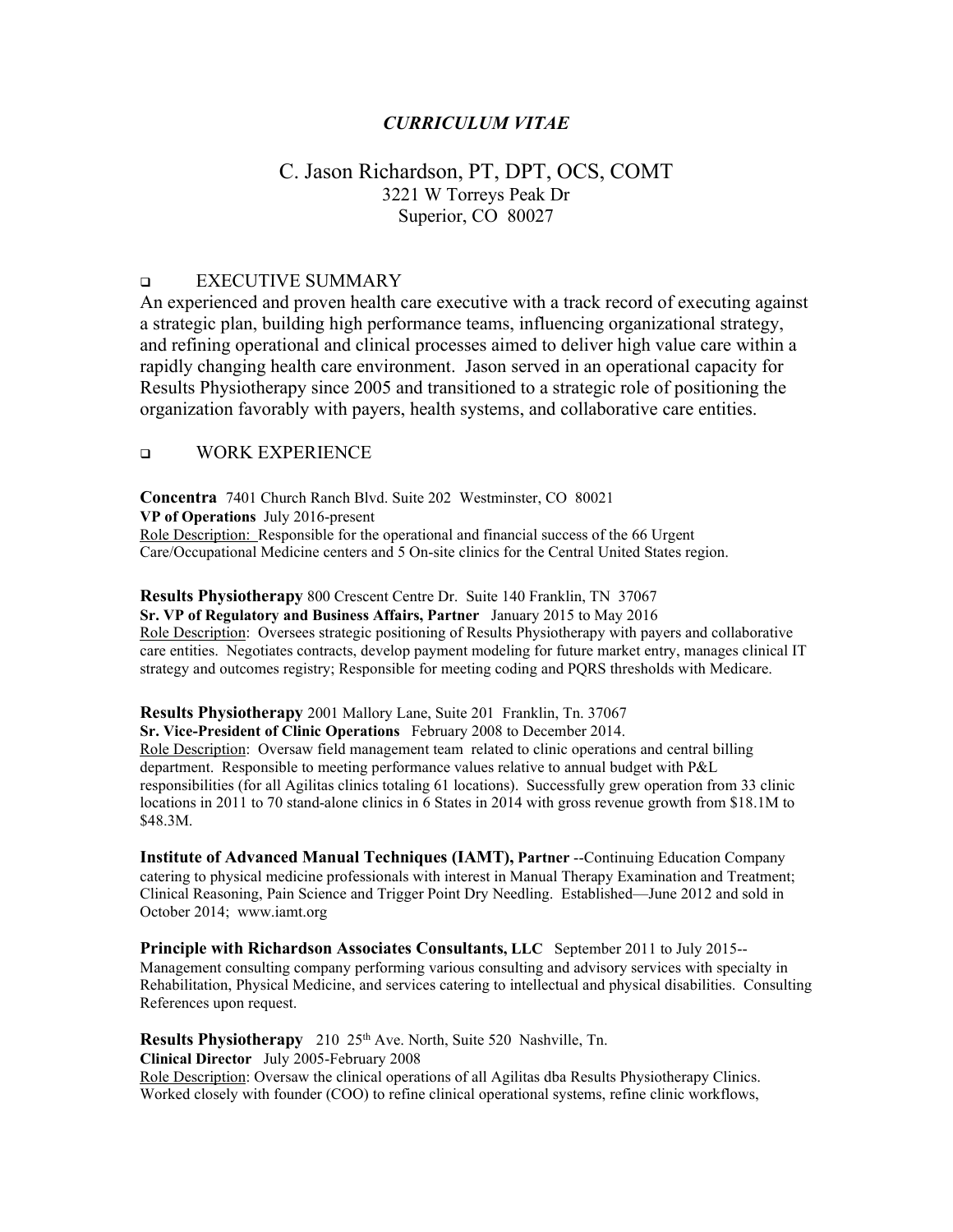### *CURRICULUM VITAE*

# C. Jason Richardson, PT, DPT, OCS, COMT 3221 W Torreys Peak Dr Superior, CO 80027

#### **EXECUTIVE SUMMARY**

An experienced and proven health care executive with a track record of executing against a strategic plan, building high performance teams, influencing organizational strategy, and refining operational and clinical processes aimed to deliver high value care within a rapidly changing health care environment. Jason served in an operational capacity for Results Physiotherapy since 2005 and transitioned to a strategic role of positioning the organization favorably with payers, health systems, and collaborative care entities.

#### **Q WORK EXPERIENCE**

**Concentra** 7401 Church Ranch Blvd. Suite 202 Westminster, CO 80021 **VP of Operations** July 2016-present Role Description: Responsible for the operational and financial success of the 66 Urgent Care/Occupational Medicine centers and 5 On-site clinics for the Central United States region.

**Results Physiotherapy** 800 Crescent Centre Dr. Suite 140 Franklin, TN 37067 **Sr. VP of Regulatory and Business Affairs, Partner** January 2015 to May 2016 Role Description: Oversees strategic positioning of Results Physiotherapy with payers and collaborative care entities. Negotiates contracts, develop payment modeling for future market entry, manages clinical IT strategy and outcomes registry; Responsible for meeting coding and PQRS thresholds with Medicare.

#### **Results Physiotherapy** 2001 Mallory Lane, Suite 201 Franklin, Tn. 37067

**Sr. Vice-President of Clinic Operations** February 2008 to December 2014.

Role Description: Oversaw field management team related to clinic operations and central billing department. Responsible to meeting performance values relative to annual budget with P&L responsibilities (for all Agilitas clinics totaling 61 locations). Successfully grew operation from 33 clinic locations in 2011 to 70 stand-alone clinics in 6 States in 2014 with gross revenue growth from \$18.1M to \$48.3M.

**Institute of Advanced Manual Techniques (IAMT), Partner** --Continuing Education Company catering to physical medicine professionals with interest in Manual Therapy Examination and Treatment; Clinical Reasoning, Pain Science and Trigger Point Dry Needling. Established—June 2012 and sold in October 2014; www.iamt.org

**Principle with Richardson Associates Consultants, LLC** September 2011 to July 2015-- Management consulting company performing various consulting and advisory services with specialty in Rehabilitation, Physical Medicine, and services catering to intellectual and physical disabilities. Consulting References upon request.

**Results Physiotherapy** 210 25<sup>th</sup> Ave. North, Suite 520 Nashville, Tn.

**Clinical Director** July 2005-February 2008

Role Description: Oversaw the clinical operations of all Agilitas dba Results Physiotherapy Clinics. Worked closely with founder (COO) to refine clinical operational systems, refine clinic workflows,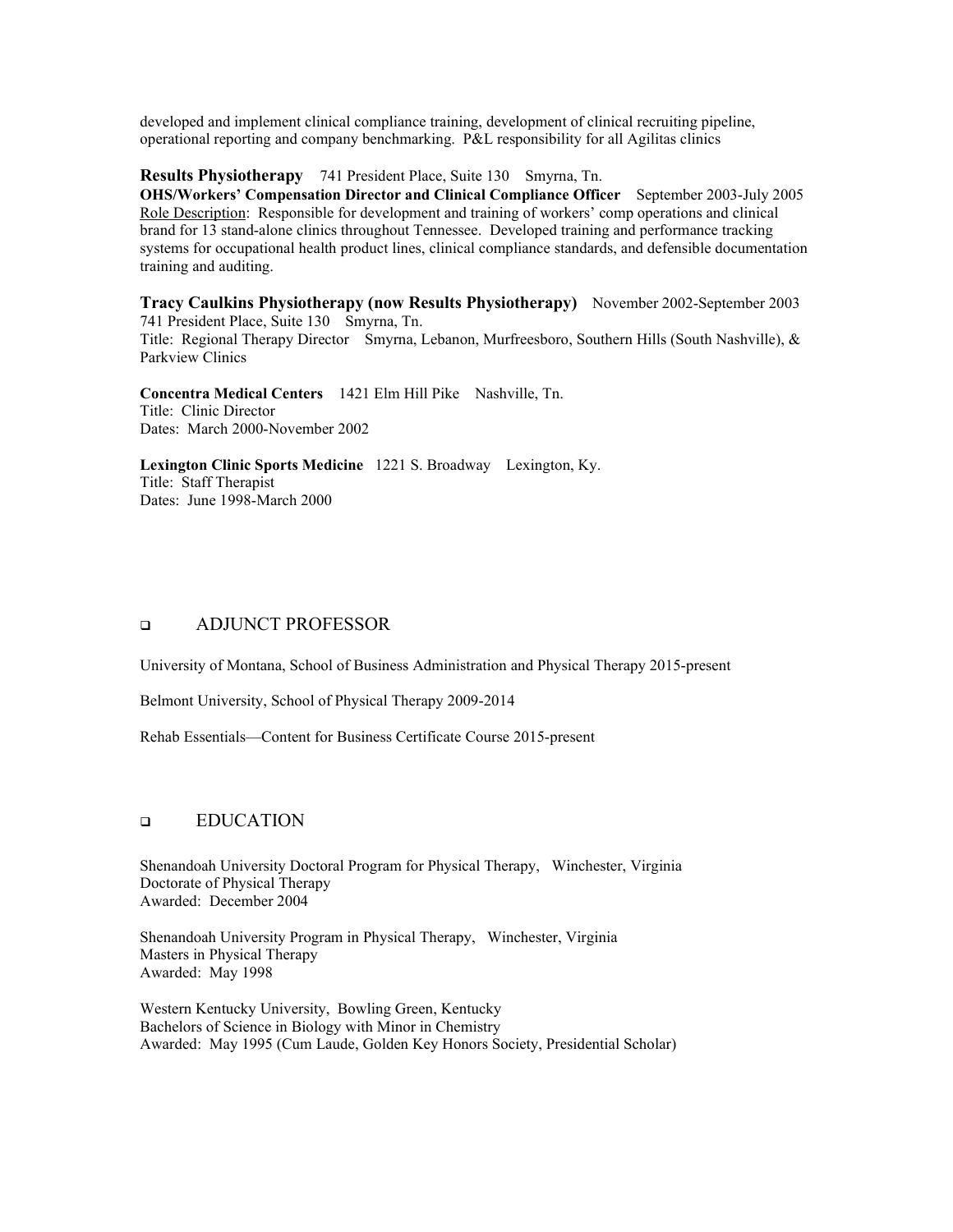developed and implement clinical compliance training, development of clinical recruiting pipeline, operational reporting and company benchmarking. P&L responsibility for all Agilitas clinics

**Results Physiotherapy** 741 President Place, Suite 130 Smyrna, Tn.

**OHS/Workers' Compensation Director and Clinical Compliance Officer** September 2003-July 2005 Role Description: Responsible for development and training of workers' comp operations and clinical brand for 13 stand-alone clinics throughout Tennessee. Developed training and performance tracking systems for occupational health product lines, clinical compliance standards, and defensible documentation training and auditing.

**Tracy Caulkins Physiotherapy (now Results Physiotherapy)** November 2002-September 2003 741 President Place, Suite 130 Smyrna, Tn. Title: Regional Therapy Director Smyrna, Lebanon, Murfreesboro, Southern Hills (South Nashville), & Parkview Clinics

**Concentra Medical Centers** 1421 Elm Hill Pike Nashville, Tn. Title: Clinic Director Dates: March 2000-November 2002

**Lexington Clinic Sports Medicine** 1221 S. Broadway Lexington, Ky. Title: Staff Therapist Dates: June 1998-March 2000

### **ADJUNCT PROFESSOR**

University of Montana, School of Business Administration and Physical Therapy 2015-present

Belmont University, School of Physical Therapy 2009-2014

Rehab Essentials—Content for Business Certificate Course 2015-present

### **EDUCATION**

Shenandoah University Doctoral Program for Physical Therapy, Winchester, Virginia Doctorate of Physical Therapy Awarded: December 2004

Shenandoah University Program in Physical Therapy, Winchester, Virginia Masters in Physical Therapy Awarded: May 1998

Western Kentucky University, Bowling Green, Kentucky Bachelors of Science in Biology with Minor in Chemistry Awarded: May 1995 (Cum Laude, Golden Key Honors Society, Presidential Scholar)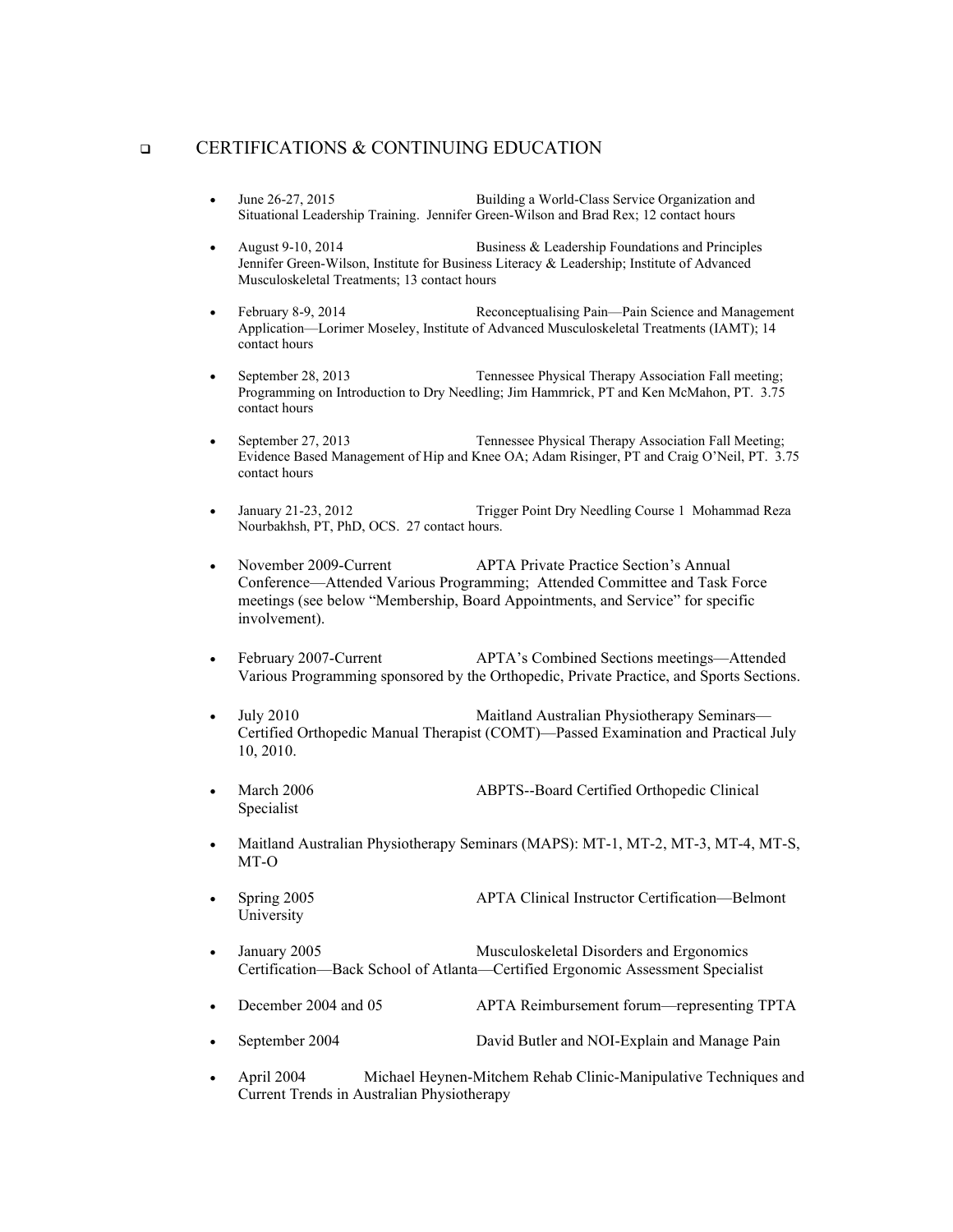#### **CERTIFICATIONS & CONTINUING EDUCATION**

- June 26-27, 2015 Building a World-Class Service Organization and Situational Leadership Training. Jennifer Green-Wilson and Brad Rex; 12 contact hours
- August 9-10, 2014 Business & Leadership Foundations and Principles Jennifer Green-Wilson, Institute for Business Literacy & Leadership; Institute of Advanced Musculoskeletal Treatments; 13 contact hours
- February 8-9, 2014 Reconceptualising Pain—Pain Science and Management Application—Lorimer Moseley, Institute of Advanced Musculoskeletal Treatments (IAMT); 14 contact hours
- September 28, 2013 Tennessee Physical Therapy Association Fall meeting; Programming on Introduction to Dry Needling; Jim Hammrick, PT and Ken McMahon, PT. 3.75 contact hours
- September 27, 2013 Tennessee Physical Therapy Association Fall Meeting; Evidence Based Management of Hip and Knee OA; Adam Risinger, PT and Craig O'Neil, PT. 3.75 contact hours
- January 21-23, 2012 Trigger Point Dry Needling Course 1 Mohammad Reza Nourbakhsh, PT, PhD, OCS. 27 contact hours.
- November 2009-Current APTA Private Practice Section's Annual Conference—Attended Various Programming; Attended Committee and Task Force meetings (see below "Membership, Board Appointments, and Service" for specific involvement).
- February 2007-Current APTA's Combined Sections meetings—Attended Various Programming sponsored by the Orthopedic, Private Practice, and Sports Sections.
- July 2010 Maitland Australian Physiotherapy Seminars— Certified Orthopedic Manual Therapist (COMT)—Passed Examination and Practical July 10, 2010.
- March 2006 ABPTS--Board Certified Orthopedic Clinical Specialist
- Maitland Australian Physiotherapy Seminars (MAPS): MT-1, MT-2, MT-3, MT-4, MT-S, MT-O
- Spring 2005 APTA Clinical Instructor Certification—Belmont University
- January 2005 Musculoskeletal Disorders and Ergonomics Certification—Back School of Atlanta—Certified Ergonomic Assessment Specialist
- December 2004 and 05 APTA Reimbursement forum—representing TPTA
- September 2004 David Butler and NOI-Explain and Manage Pain
- April 2004 Michael Heynen-Mitchem Rehab Clinic-Manipulative Techniques and Current Trends in Australian Physiotherapy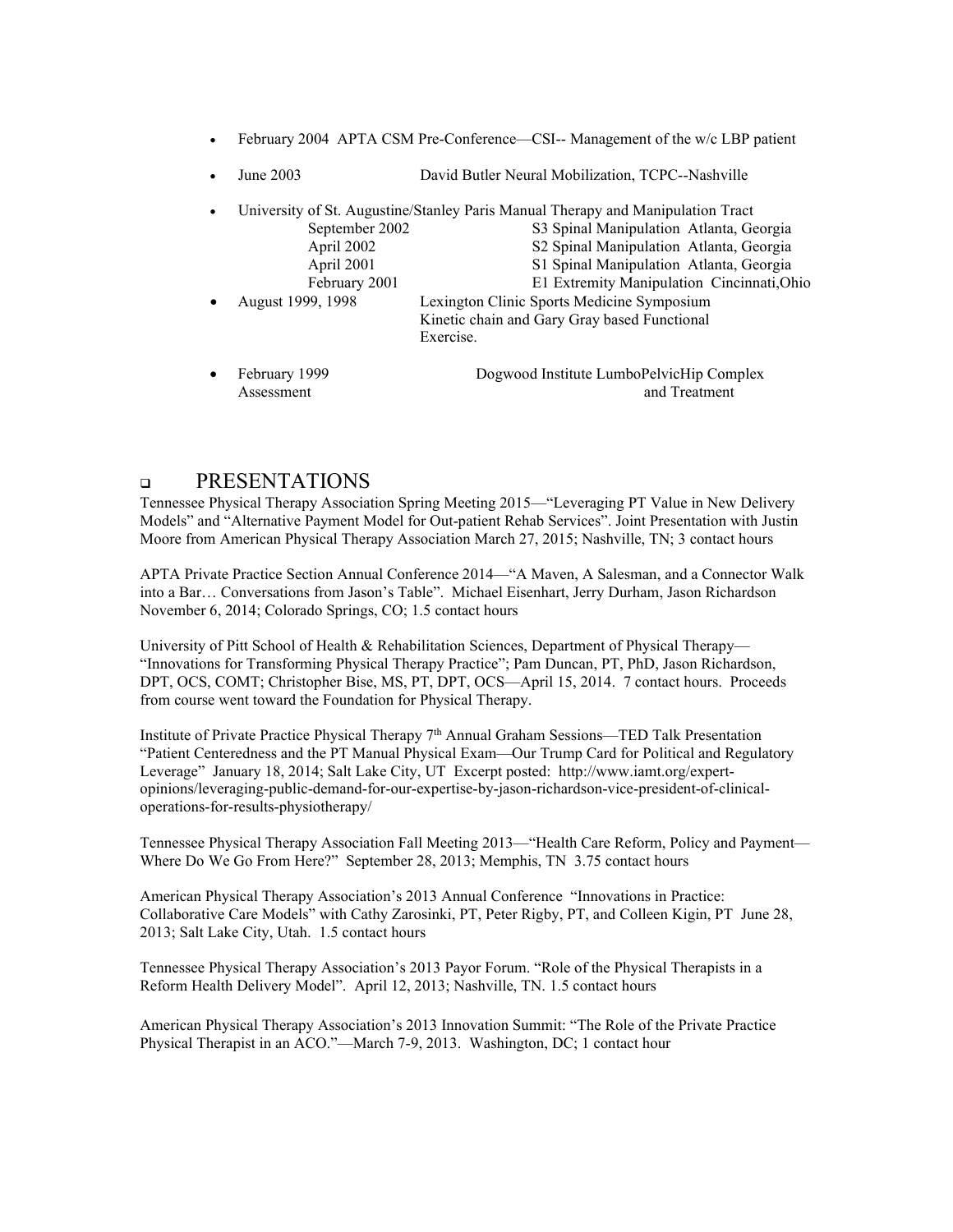- February 2004 APTA CSM Pre-Conference—CSI-- Management of the w/c LBP patient
- June 2003 David Butler Neural Mobilization, TCPC--Nashville
- University of St. Augustine/Stanley Paris Manual Therapy and Manipulation Tract September 2002 S3 Spinal Manipulation Atlanta, Georgia April 2002 Spinal Manipulation Atlanta, Georgia April 2001 S1 Spinal Manipulation Atlanta, Georgia February 2001 E1 Extremity Manipulation Cincinnati,Ohio • August 1999, 1998 Lexington Clinic Sports Medicine Symposium Kinetic chain and Gary Gray based Functional Exercise.
- February 1999 Dogwood Institute LumboPelvicHip Complex Assessment and Treatment and Treatment

### **DEPRESENTATIONS**

Tennessee Physical Therapy Association Spring Meeting 2015—"Leveraging PT Value in New Delivery Models" and "Alternative Payment Model for Out-patient Rehab Services". Joint Presentation with Justin Moore from American Physical Therapy Association March 27, 2015; Nashville, TN; 3 contact hours

APTA Private Practice Section Annual Conference 2014—"A Maven, A Salesman, and a Connector Walk into a Bar… Conversations from Jason's Table". Michael Eisenhart, Jerry Durham, Jason Richardson November 6, 2014; Colorado Springs, CO; 1.5 contact hours

University of Pitt School of Health & Rehabilitation Sciences, Department of Physical Therapy— "Innovations for Transforming Physical Therapy Practice"; Pam Duncan, PT, PhD, Jason Richardson, DPT, OCS, COMT; Christopher Bise, MS, PT, DPT, OCS—April 15, 2014. 7 contact hours. Proceeds from course went toward the Foundation for Physical Therapy.

Institute of Private Practice Physical Therapy  $7<sup>th</sup>$  Annual Graham Sessions—TED Talk Presentation "Patient Centeredness and the PT Manual Physical Exam—Our Trump Card for Political and Regulatory Leverage" January 18, 2014; Salt Lake City, UT Excerpt posted: http://www.iamt.org/expertopinions/leveraging-public-demand-for-our-expertise-by-jason-richardson-vice-president-of-clinicaloperations-for-results-physiotherapy/

Tennessee Physical Therapy Association Fall Meeting 2013—"Health Care Reform, Policy and Payment— Where Do We Go From Here?" September 28, 2013; Memphis, TN 3.75 contact hours

American Physical Therapy Association's 2013 Annual Conference "Innovations in Practice: Collaborative Care Models" with Cathy Zarosinki, PT, Peter Rigby, PT, and Colleen Kigin, PT June 28, 2013; Salt Lake City, Utah. 1.5 contact hours

Tennessee Physical Therapy Association's 2013 Payor Forum. "Role of the Physical Therapists in a Reform Health Delivery Model". April 12, 2013; Nashville, TN. 1.5 contact hours

American Physical Therapy Association's 2013 Innovation Summit: "The Role of the Private Practice Physical Therapist in an ACO."—March 7-9, 2013. Washington, DC; 1 contact hour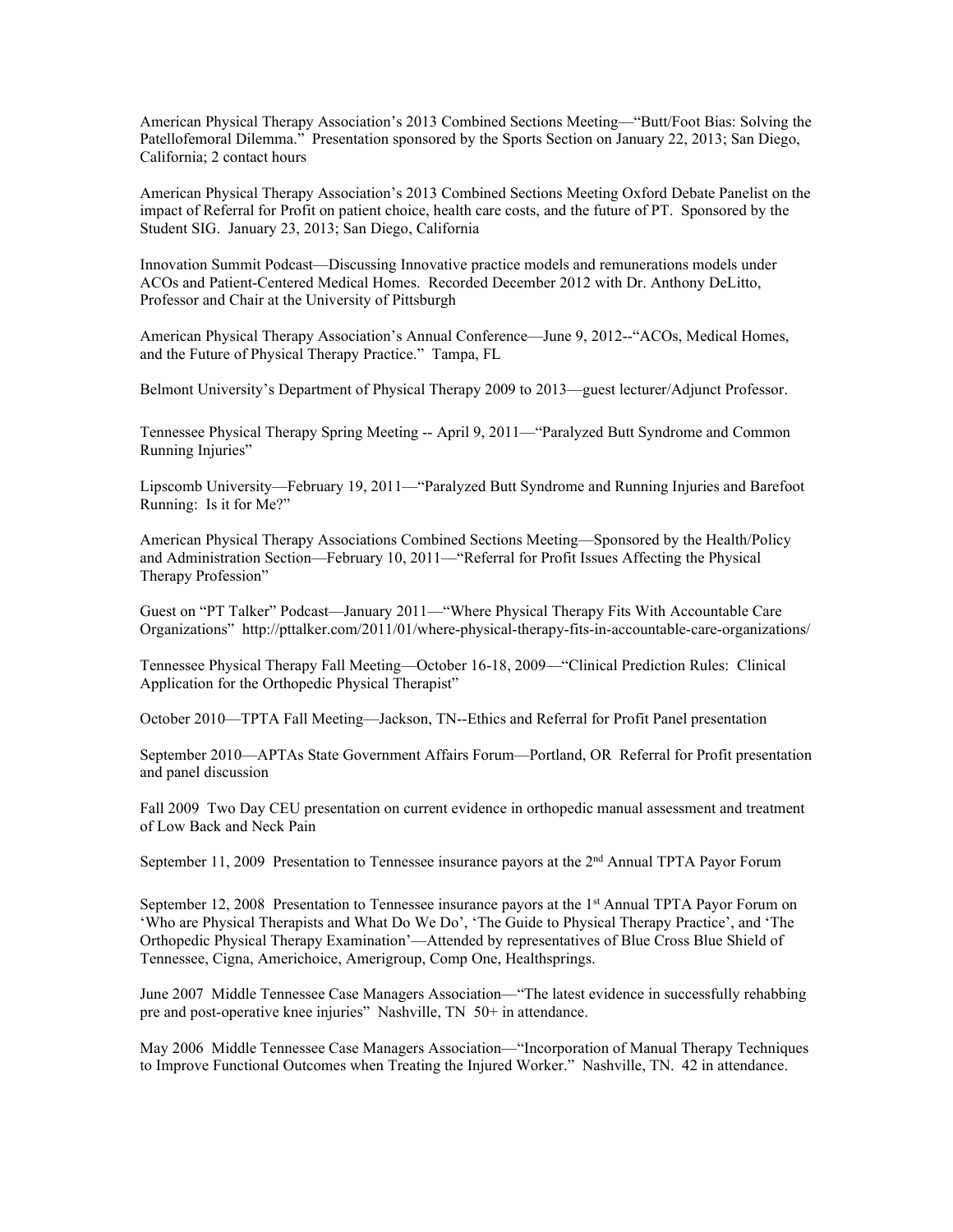American Physical Therapy Association's 2013 Combined Sections Meeting—"Butt/Foot Bias: Solving the Patellofemoral Dilemma." Presentation sponsored by the Sports Section on January 22, 2013; San Diego, California; 2 contact hours

American Physical Therapy Association's 2013 Combined Sections Meeting Oxford Debate Panelist on the impact of Referral for Profit on patient choice, health care costs, and the future of PT. Sponsored by the Student SIG. January 23, 2013; San Diego, California

Innovation Summit Podcast—Discussing Innovative practice models and remunerations models under ACOs and Patient-Centered Medical Homes. Recorded December 2012 with Dr. Anthony DeLitto, Professor and Chair at the University of Pittsburgh

American Physical Therapy Association's Annual Conference—June 9, 2012--"ACOs, Medical Homes, and the Future of Physical Therapy Practice." Tampa, FL

Belmont University's Department of Physical Therapy 2009 to 2013—guest lecturer/Adjunct Professor.

Tennessee Physical Therapy Spring Meeting -- April 9, 2011—"Paralyzed Butt Syndrome and Common Running Injuries"

Lipscomb University—February 19, 2011—"Paralyzed Butt Syndrome and Running Injuries and Barefoot Running: Is it for Me?"

American Physical Therapy Associations Combined Sections Meeting—Sponsored by the Health/Policy and Administration Section—February 10, 2011—"Referral for Profit Issues Affecting the Physical Therapy Profession"

Guest on "PT Talker" Podcast—January 2011—"Where Physical Therapy Fits With Accountable Care Organizations" http://pttalker.com/2011/01/where-physical-therapy-fits-in-accountable-care-organizations/

Tennessee Physical Therapy Fall Meeting—October 16-18, 2009—"Clinical Prediction Rules: Clinical Application for the Orthopedic Physical Therapist"

October 2010—TPTA Fall Meeting—Jackson, TN--Ethics and Referral for Profit Panel presentation

September 2010—APTAs State Government Affairs Forum—Portland, OR Referral for Profit presentation and panel discussion

Fall 2009 Two Day CEU presentation on current evidence in orthopedic manual assessment and treatment of Low Back and Neck Pain

September 11, 2009 Presentation to Tennessee insurance payors at the 2<sup>nd</sup> Annual TPTA Payor Forum

September 12, 2008 Presentation to Tennessee insurance payors at the 1<sup>st</sup> Annual TPTA Payor Forum on 'Who are Physical Therapists and What Do We Do', 'The Guide to Physical Therapy Practice', and 'The Orthopedic Physical Therapy Examination'—Attended by representatives of Blue Cross Blue Shield of Tennessee, Cigna, Americhoice, Amerigroup, Comp One, Healthsprings.

June 2007 Middle Tennessee Case Managers Association—"The latest evidence in successfully rehabbing pre and post-operative knee injuries" Nashville, TN 50+ in attendance.

May 2006 Middle Tennessee Case Managers Association—"Incorporation of Manual Therapy Techniques to Improve Functional Outcomes when Treating the Injured Worker." Nashville, TN. 42 in attendance.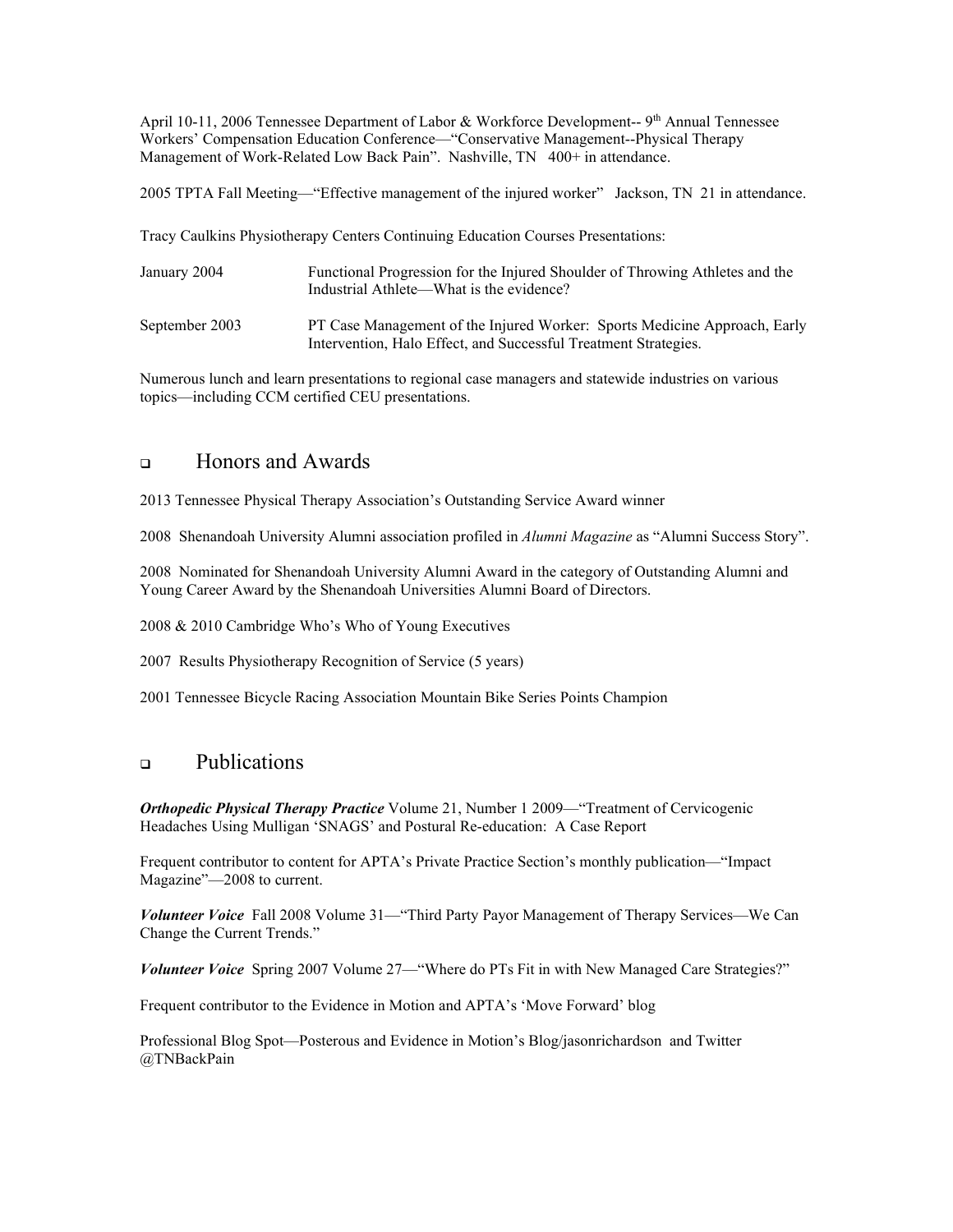April 10-11, 2006 Tennessee Department of Labor & Workforce Development-- 9<sup>th</sup> Annual Tennessee Workers' Compensation Education Conference—"Conservative Management--Physical Therapy Management of Work-Related Low Back Pain". Nashville, TN 400+ in attendance.

2005 TPTA Fall Meeting—"Effective management of the injured worker" Jackson, TN 21 in attendance.

Tracy Caulkins Physiotherapy Centers Continuing Education Courses Presentations:

| January 2004   | Functional Progression for the Injured Shoulder of Throwing Athletes and the<br>Industrial Athlete—What is the evidence?                     |
|----------------|----------------------------------------------------------------------------------------------------------------------------------------------|
| September 2003 | PT Case Management of the Injured Worker: Sports Medicine Approach, Early<br>Intervention, Halo Effect, and Successful Treatment Strategies. |

Numerous lunch and learn presentations to regional case managers and statewide industries on various topics—including CCM certified CEU presentations.

# Honors and Awards

2013 Tennessee Physical Therapy Association's Outstanding Service Award winner

2008 Shenandoah University Alumni association profiled in *Alumni Magazine* as "Alumni Success Story".

2008 Nominated for Shenandoah University Alumni Award in the category of Outstanding Alumni and Young Career Award by the Shenandoah Universities Alumni Board of Directors.

2008 & 2010 Cambridge Who's Who of Young Executives

2007 Results Physiotherapy Recognition of Service (5 years)

2001 Tennessee Bicycle Racing Association Mountain Bike Series Points Champion

# **Publications**

*Orthopedic Physical Therapy Practice* Volume 21, Number 1 2009—"Treatment of Cervicogenic Headaches Using Mulligan 'SNAGS' and Postural Re-education: A Case Report

Frequent contributor to content for APTA's Private Practice Section's monthly publication—"Impact Magazine"—2008 to current.

*Volunteer Voice* Fall 2008 Volume 31—"Third Party Payor Management of Therapy Services—We Can Change the Current Trends."

*Volunteer Voice* Spring 2007 Volume 27—"Where do PTs Fit in with New Managed Care Strategies?"

Frequent contributor to the Evidence in Motion and APTA's 'Move Forward' blog

Professional Blog Spot—Posterous and Evidence in Motion's Blog/jasonrichardson and Twitter @TNBackPain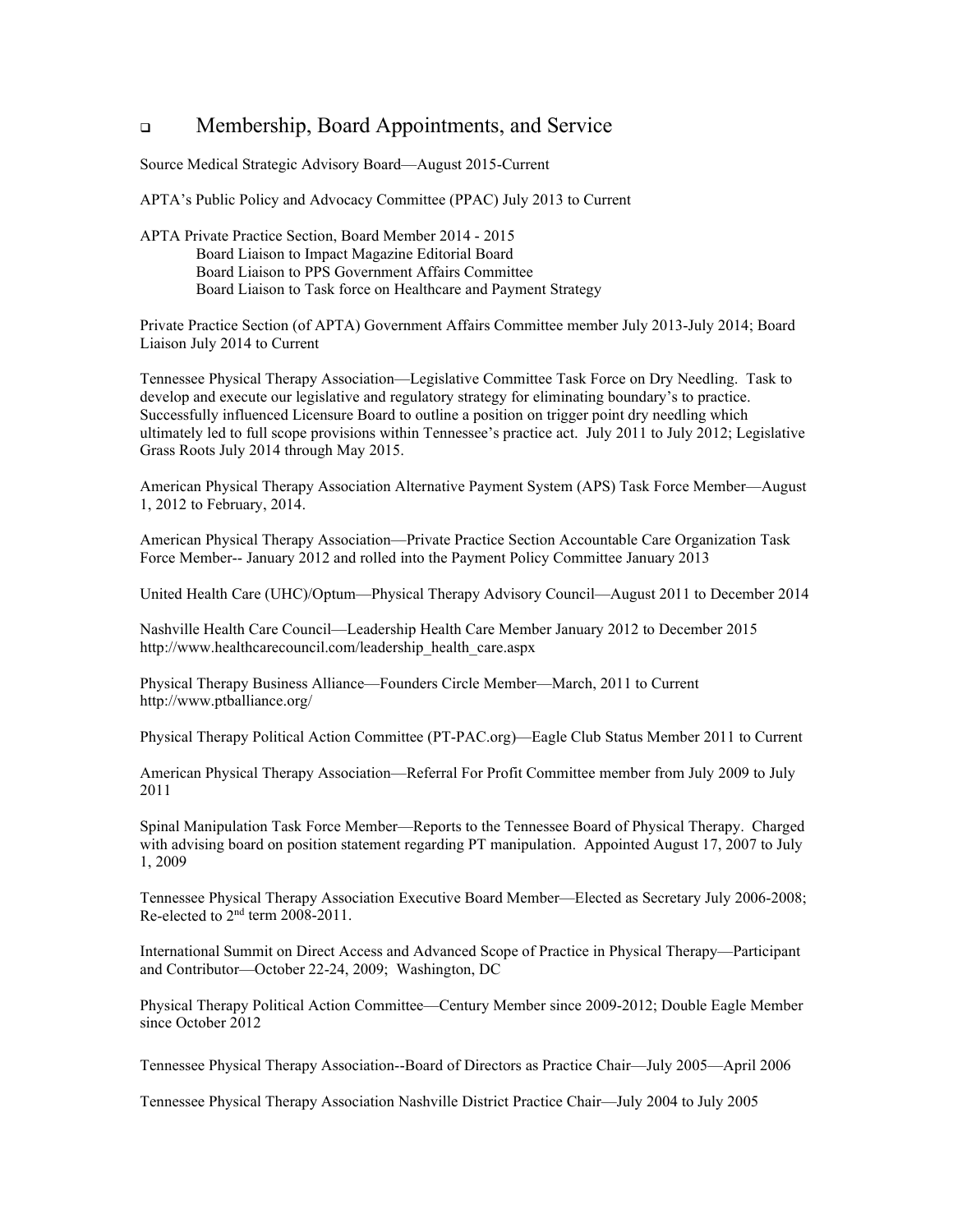# Membership, Board Appointments, and Service

Source Medical Strategic Advisory Board—August 2015-Current

APTA's Public Policy and Advocacy Committee (PPAC) July 2013 to Current

APTA Private Practice Section, Board Member 2014 - 2015 Board Liaison to Impact Magazine Editorial Board Board Liaison to PPS Government Affairs Committee Board Liaison to Task force on Healthcare and Payment Strategy

Private Practice Section (of APTA) Government Affairs Committee member July 2013-July 2014; Board Liaison July 2014 to Current

Tennessee Physical Therapy Association—Legislative Committee Task Force on Dry Needling. Task to develop and execute our legislative and regulatory strategy for eliminating boundary's to practice. Successfully influenced Licensure Board to outline a position on trigger point dry needling which ultimately led to full scope provisions within Tennessee's practice act. July 2011 to July 2012; Legislative Grass Roots July 2014 through May 2015.

American Physical Therapy Association Alternative Payment System (APS) Task Force Member—August 1, 2012 to February, 2014.

American Physical Therapy Association—Private Practice Section Accountable Care Organization Task Force Member-- January 2012 and rolled into the Payment Policy Committee January 2013

United Health Care (UHC)/Optum—Physical Therapy Advisory Council—August 2011 to December 2014

Nashville Health Care Council—Leadership Health Care Member January 2012 to December 2015 http://www.healthcarecouncil.com/leadership\_health\_care.aspx

Physical Therapy Business Alliance—Founders Circle Member—March, 2011 to Current http://www.ptballiance.org/

Physical Therapy Political Action Committee (PT-PAC.org)—Eagle Club Status Member 2011 to Current

American Physical Therapy Association—Referral For Profit Committee member from July 2009 to July 2011

Spinal Manipulation Task Force Member—Reports to the Tennessee Board of Physical Therapy. Charged with advising board on position statement regarding PT manipulation. Appointed August 17, 2007 to July 1, 2009

Tennessee Physical Therapy Association Executive Board Member—Elected as Secretary July 2006-2008; Re-elected to 2nd term 2008-2011.

International Summit on Direct Access and Advanced Scope of Practice in Physical Therapy—Participant and Contributor—October 22-24, 2009; Washington, DC

Physical Therapy Political Action Committee—Century Member since 2009-2012; Double Eagle Member since October 2012

Tennessee Physical Therapy Association--Board of Directors as Practice Chair—July 2005—April 2006

Tennessee Physical Therapy Association Nashville District Practice Chair—July 2004 to July 2005